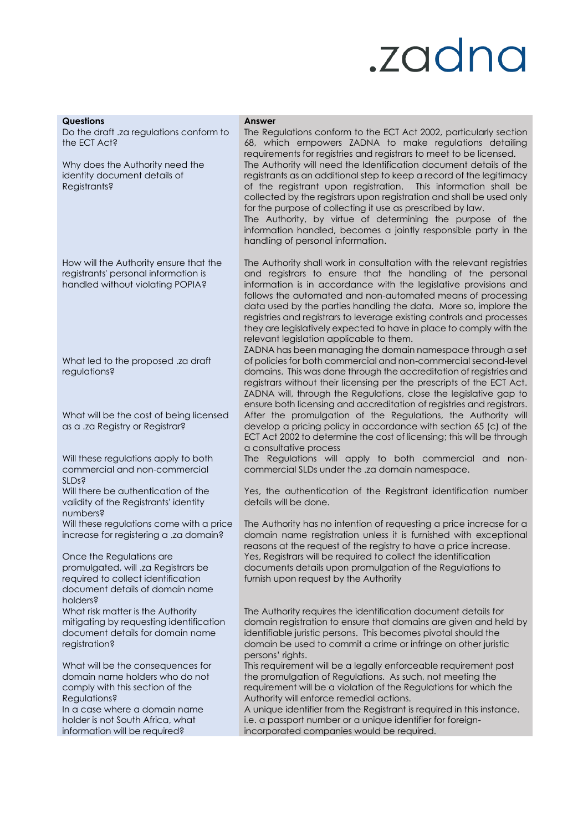## .zadna

| <b>Questions</b><br>Do the draft .za regulations conform to<br>the ECT Act?                                                                          | <b>Answer</b><br>The Regulations conform to the ECT Act 2002, particularly section<br>68, which empowers ZADNA to make regulations detailing<br>requirements for registries and registrars to meet to be licensed.                                                                                                                                                                                                                                                                                                                                                                                   |
|------------------------------------------------------------------------------------------------------------------------------------------------------|------------------------------------------------------------------------------------------------------------------------------------------------------------------------------------------------------------------------------------------------------------------------------------------------------------------------------------------------------------------------------------------------------------------------------------------------------------------------------------------------------------------------------------------------------------------------------------------------------|
| Why does the Authority need the<br>identity document details of<br>Registrants?                                                                      | The Authority will need the Identification document details of the<br>registrants as an additional step to keep a record of the legitimacy<br>of the registrant upon registration. This information shall be<br>collected by the registrars upon registration and shall be used only<br>for the purpose of collecting it use as prescribed by law.<br>The Authority, by virtue of determining the purpose of the<br>information handled, becomes a jointly responsible party in the<br>handling of personal information.                                                                             |
| How will the Authority ensure that the<br>registrants' personal information is<br>handled without violating POPIA?                                   | The Authority shall work in consultation with the relevant registries<br>and registrars to ensure that the handling of the personal<br>information is in accordance with the legislative provisions and<br>follows the automated and non-automated means of processing<br>data used by the parties handling the data. More so, implore the<br>registries and registrars to leverage existing controls and processes<br>they are legislatively expected to have in place to comply with the<br>relevant legislation applicable to them.<br>ZADNA has been managing the domain namespace through a set |
| What led to the proposed .za draft<br>regulations?                                                                                                   | of policies for both commercial and non-commercial second-level<br>domains. This was done through the accreditation of registries and<br>registrars without their licensing per the prescripts of the ECT Act.<br>ZADNA will, through the Regulations, close the legislative gap to<br>ensure both licensing and accreditation of registries and registrars.                                                                                                                                                                                                                                         |
| What will be the cost of being licensed<br>as a .za Registry or Registrar?                                                                           | After the promulgation of the Regulations, the Authority will<br>develop a pricing policy in accordance with section 65 (c) of the<br>ECT Act 2002 to determine the cost of licensing; this will be through<br>a consultative process                                                                                                                                                                                                                                                                                                                                                                |
| Will these regulations apply to both<br>commercial and non-commercial<br><b>SLDs?</b>                                                                | The Regulations will apply to both commercial and non-<br>commercial SLDs under the .za domain namespace.                                                                                                                                                                                                                                                                                                                                                                                                                                                                                            |
| Will there be authentication of the<br>validity of the Registrants' identity<br>numbers?                                                             | Yes, the authentication of the Registrant identification number<br>details will be done.                                                                                                                                                                                                                                                                                                                                                                                                                                                                                                             |
| Will these regulations come with a price<br>increase for registering a .za domain?                                                                   | The Authority has no intention of requesting a price increase for a<br>domain name registration unless it is furnished with exceptional<br>reasons at the request of the registry to have a price increase.                                                                                                                                                                                                                                                                                                                                                                                          |
| Once the Regulations are<br>promulgated, will .za Registrars be<br>required to collect identification<br>document details of domain name<br>holders? | Yes, Registrars will be required to collect the identification<br>documents details upon promulgation of the Regulations to<br>furnish upon request by the Authority                                                                                                                                                                                                                                                                                                                                                                                                                                 |
| What risk matter is the Authority<br>mitigating by requesting identification<br>document details for domain name<br>registration?                    | The Authority requires the identification document details for<br>domain registration to ensure that domains are given and held by<br>identifiable juristic persons. This becomes pivotal should the<br>domain be used to commit a crime or infringe on other juristic<br>persons' rights.                                                                                                                                                                                                                                                                                                           |
| What will be the consequences for<br>domain name holders who do not<br>comply with this section of the<br>Regulations?                               | This requirement will be a legally enforceable requirement post<br>the promulgation of Regulations. As such, not meeting the<br>requirement will be a violation of the Regulations for which the<br>Authority will enforce remedial actions.                                                                                                                                                                                                                                                                                                                                                         |
| In a case where a domain name<br>holder is not South Africa, what<br>information will be required?                                                   | A unique identifier from the Registrant is required in this instance.<br>i.e. a passport number or a unique identifier for foreign-<br>incorporated companies would be required.                                                                                                                                                                                                                                                                                                                                                                                                                     |